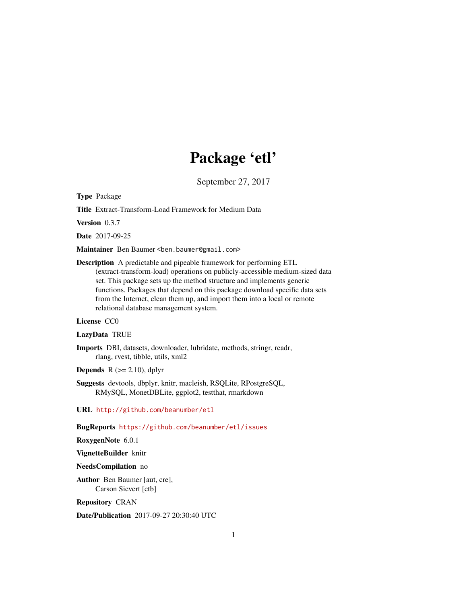# Package 'etl'

September 27, 2017

<span id="page-0-0"></span>Type Package

Title Extract-Transform-Load Framework for Medium Data

Version 0.3.7

Date 2017-09-25

Maintainer Ben Baumer <ben.baumer@gmail.com>

Description A predictable and pipeable framework for performing ETL (extract-transform-load) operations on publicly-accessible medium-sized data set. This package sets up the method structure and implements generic functions. Packages that depend on this package download specific data sets from the Internet, clean them up, and import them into a local or remote relational database management system.

#### License CC0

LazyData TRUE

Imports DBI, datasets, downloader, lubridate, methods, stringr, readr, rlang, rvest, tibble, utils, xml2

**Depends**  $R$  ( $>= 2.10$ ), dplyr

Suggests devtools, dbplyr, knitr, macleish, RSQLite, RPostgreSQL, RMySQL, MonetDBLite, ggplot2, testthat, rmarkdown

URL <http://github.com/beanumber/etl>

BugReports <https://github.com/beanumber/etl/issues>

RoxygenNote 6.0.1

VignetteBuilder knitr

NeedsCompilation no

Author Ben Baumer [aut, cre], Carson Sievert [ctb]

Repository CRAN

Date/Publication 2017-09-27 20:30:40 UTC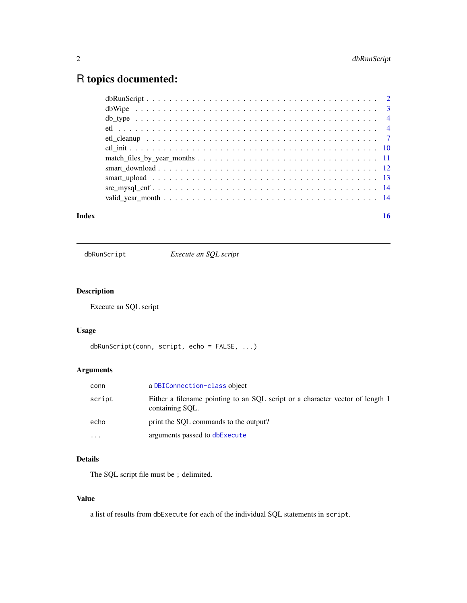# <span id="page-1-0"></span>R topics documented:

| $src\_mysql\_cnf \ldots \ldots \ldots \ldots \ldots \ldots \ldots \ldots \ldots \ldots \ldots \ldots \ldots$ |  |  |  |  |  |  |  |  |  |  |  |  |  |  |  |
|--------------------------------------------------------------------------------------------------------------|--|--|--|--|--|--|--|--|--|--|--|--|--|--|--|
|                                                                                                              |  |  |  |  |  |  |  |  |  |  |  |  |  |  |  |
|                                                                                                              |  |  |  |  |  |  |  |  |  |  |  |  |  |  |  |

#### **Index** the contract of the contract of the contract of the contract of the contract of the contract of the contract of the contract of the contract of the contract of the contract of the contract of the contract of the co

dbRunScript *Execute an SQL script*

# Description

Execute an SQL script

# Usage

```
dbRunScript(conn, script, echo = FALSE, ...)
```
# Arguments

| conn      | a DBI Connection-class object                                                                    |
|-----------|--------------------------------------------------------------------------------------------------|
| script    | Either a filename pointing to an SQL script or a character vector of length 1<br>containing SOL. |
| echo      | print the SOL commands to the output?                                                            |
| $\ddotsc$ | arguments passed to dbExecute                                                                    |

## Details

The SQL script file must be ; delimited.

# Value

a list of results from dbExecute for each of the individual SQL statements in script.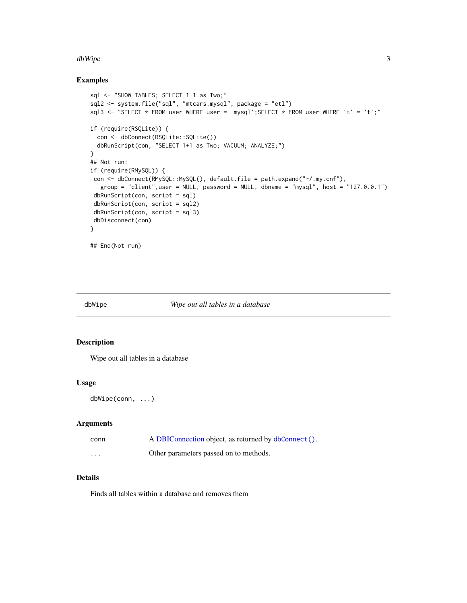#### <span id="page-2-0"></span>dbWipe 3

# Examples

```
sql <- "SHOW TABLES; SELECT 1+1 as Two;"
sql2 <- system.file("sql", "mtcars.mysql", package = "etl")
sql3 <- "SELECT * FROM user WHERE user = 'mysql';SELECT * FROM user WHERE 't' = 't';"
if (require(RSQLite)) {
 con <- dbConnect(RSQLite::SQLite())
 dbRunScript(con, "SELECT 1+1 as Two; VACUUM; ANALYZE;")
}
## Not run:
if (require(RMySQL)) {
con <- dbConnect(RMySQL::MySQL(), default.file = path.expand("~/.my.cnf"),
  group = "client",user = NULL, password = NULL, dbname = "mysql", host = "127.0.0.1")dbRunScript(con, script = sql)
dbRunScript(con, script = sql2)
dbRunScript(con, script = sql3)
dbDisconnect(con)
}
## End(Not run)
```
#### dbWipe *Wipe out all tables in a database*

#### Description

Wipe out all tables in a database

#### Usage

dbWipe(conn, ...)

# Arguments

| conn     | A DBIConnection object, as returned by dbConnect(). |
|----------|-----------------------------------------------------|
| $\cdots$ | Other parameters passed on to methods.              |

## Details

Finds all tables within a database and removes them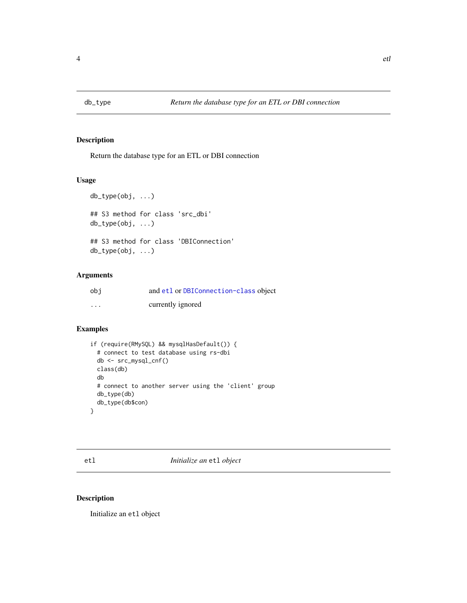<span id="page-3-0"></span>

Return the database type for an ETL or DBI connection

# Usage

```
db_type(obj, ...)
## S3 method for class 'src_dbi'
db_type(obj, ...)
## S3 method for class 'DBIConnection'
db_type(obj, ...)
```
#### Arguments

| obi      | and etl or DBIConnection-class object |
|----------|---------------------------------------|
| $\cdots$ | currently ignored                     |

# Examples

```
if (require(RMySQL) && mysqlHasDefault()) {
 # connect to test database using rs-dbi
 db <- src_mysql_cnf()
 class(db)
 db
 # connect to another server using the 'client' group
 db_type(db)
 db_type(db$con)
}
```
<span id="page-3-1"></span>etl *Initialize an* etl *object*

# <span id="page-3-2"></span>Description

Initialize an etl object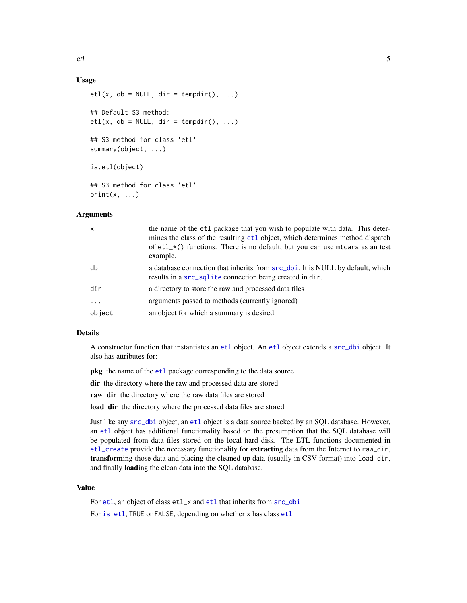#### Usage

```
etl(x, db = NULL, dir = tempdir(), ...)## Default S3 method:
etl(x, db = NULL, dir = tempdir(), ...)## S3 method for class 'etl'
summary(object, ...)
is.etl(object)
## S3 method for class 'etl'
print(x, \ldots)
```
#### Arguments

| $\mathsf{x}$ | the name of the etl package that you wish to populate with data. This deter-<br>mines the class of the resulting et 1 object, which determines method dispatch<br>of $etl_{\mathcal{A}}$ functions. There is no default, but you can use mtcars as an test<br>example. |
|--------------|------------------------------------------------------------------------------------------------------------------------------------------------------------------------------------------------------------------------------------------------------------------------|
| db           | a database connection that inherits from $src\_dbi$ . It is NULL by default, which<br>results in a src_sqlite connection being created in dir.                                                                                                                         |
| dir          | a directory to store the raw and processed data files                                                                                                                                                                                                                  |
| .            | arguments passed to methods (currently ignored)                                                                                                                                                                                                                        |
| object       | an object for which a summary is desired.                                                                                                                                                                                                                              |

#### Details

A constructor function that instantiates an [etl](#page-3-1) object. An [etl](#page-3-1) object extends a [src\\_dbi](#page-0-0) object. It also has attributes for:

pkg the name of the [etl](#page-3-1) package corresponding to the data source

dir the directory where the raw and processed data are stored

raw\_dir the directory where the raw data files are stored

load\_dir the directory where the processed data files are stored

Just like any [src\\_dbi](#page-0-0) object, an [etl](#page-3-1) object is a data source backed by an SQL database. However, an [etl](#page-3-1) object has additional functionality based on the presumption that the SQL database will be populated from data files stored on the local hard disk. The ETL functions documented in [etl\\_create](#page-6-1) provide the necessary functionality for extracting data from the Internet to raw\_dir, transforming those data and placing the cleaned up data (usually in CSV format) into load\_dir, and finally loading the clean data into the SQL database.

# Value

For [etl](#page-3-1), an object of class etl\_x and [etl](#page-3-1) that inherits from [src\\_dbi](#page-0-0) For [is.etl](#page-3-2), TRUE or FALSE, depending on whether x has class [etl](#page-3-1)

<span id="page-4-0"></span>etl<sup>3</sup> state of the state of the state of the state of the state of the state of the state of the state of the state of the state of the state of the state of the state of the state of the state of the state of the state o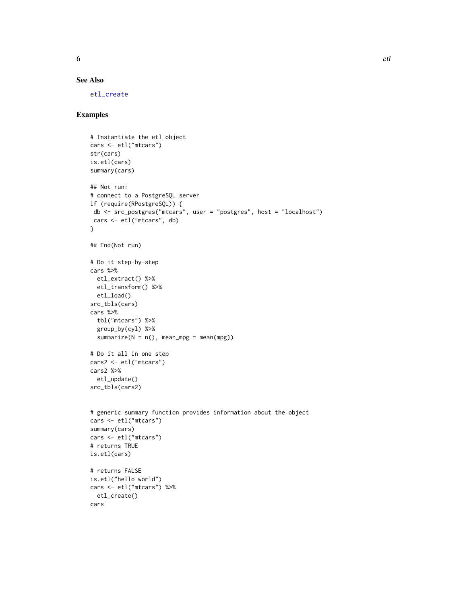<span id="page-5-0"></span>

# See Also

[etl\\_create](#page-6-1)

#### Examples

```
# Instantiate the etl object
cars <- etl("mtcars")
str(cars)
is.etl(cars)
summary(cars)
## Not run:
# connect to a PostgreSQL server
if (require(RPostgreSQL)) {
db <- src_postgres("mtcars", user = "postgres", host = "localhost")
cars <- etl("mtcars", db)
}
## End(Not run)
# Do it step-by-step
cars %>%
 etl_extract() %>%
 etl_transform() %>%
 etl_load()
src_tbls(cars)
cars %>%
  tbl("mtcars") %>%
  group_by(cyl) %>%
  summarize(N = n(), mean_mpg = mean(mpg))
# Do it all in one step
cars2 <- etl("mtcars")
cars2 %>%
 etl_update()
src_tbls(cars2)
# generic summary function provides information about the object
cars <- etl("mtcars")
summary(cars)
cars <- etl("mtcars")
# returns TRUE
is.etl(cars)
# returns FALSE
is.etl("hello world")
cars <- etl("mtcars") %>%
  etl_create()
cars
```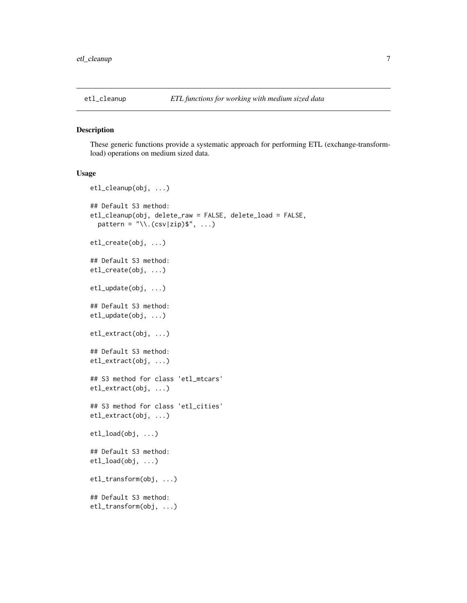<span id="page-6-1"></span><span id="page-6-0"></span>

These generic functions provide a systematic approach for performing ETL (exchange-transformload) operations on medium sized data.

#### Usage

```
etl_cleanup(obj, ...)
## Default S3 method:
etl_cleanup(obj, delete_raw = FALSE, delete_load = FALSE,
  pattern = "\
\
\(csv|zip)$'', ...)
etl_create(obj, ...)
## Default S3 method:
etl_create(obj, ...)
etl_update(obj, ...)
## Default S3 method:
etl_update(obj, ...)
etl_extract(obj, ...)
## Default S3 method:
etl_extract(obj, ...)
## S3 method for class 'etl_mtcars'
etl_extract(obj, ...)
## S3 method for class 'etl_cities'
etl_extract(obj, ...)
etl_load(obj, ...)
## Default S3 method:
etl_load(obj, ...)
etl_transform(obj, ...)
## Default S3 method:
etl_transform(obj, ...)
```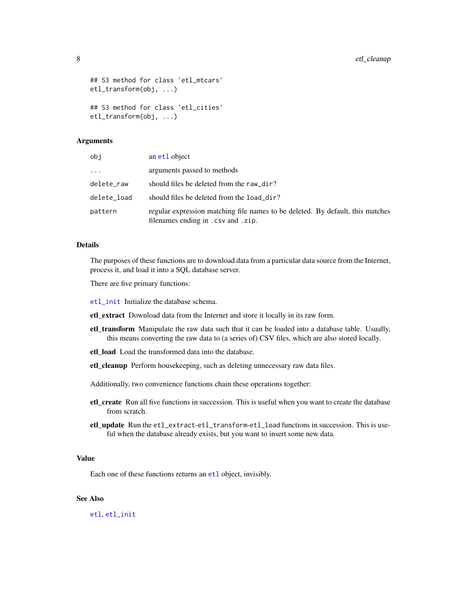```
## S3 method for class 'etl_mtcars'
etl_transform(obj, ...)
## S3 method for class 'etl_cities'
etl_transform(obj, ...)
```
#### Arguments

| obi         | an et1 object                                                                                                        |
|-------------|----------------------------------------------------------------------------------------------------------------------|
| .           | arguments passed to methods                                                                                          |
| delete raw  | should files be deleted from the raw_dir?                                                                            |
| delete load | should files be deleted from the load_dir?                                                                           |
| pattern     | regular expression matching file names to be deleted. By default, this matches<br>filenames ending in .csv and .zip. |

#### Details

The purposes of these functions are to download data from a particular data source from the Internet, process it, and load it into a SQL database server.

There are five primary functions:

[etl\\_init](#page-9-1) Initialize the database schema.

etl\_extract Download data from the Internet and store it locally in its raw form.

- etl\_transform Manipulate the raw data such that it can be loaded into a database table. Usually, this means converting the raw data to (a series of) CSV files, which are also stored locally.
- etl\_load Load the transformed data into the database.
- etl\_cleanup Perform housekeeping, such as deleting unnecessary raw data files.

Additionally, two convenience functions chain these operations together:

- etl\_create Run all five functions in succession. This is useful when you want to create the database from scratch.
- etl\_update Run the etl\_extract-etl\_transform-etl\_load functions in succession. This is useful when the database already exists, but you want to insert some new data.

#### Value

Each one of these functions returns an [etl](#page-3-1) object, invisibly.

# See Also

[etl](#page-3-1), [etl\\_init](#page-9-1)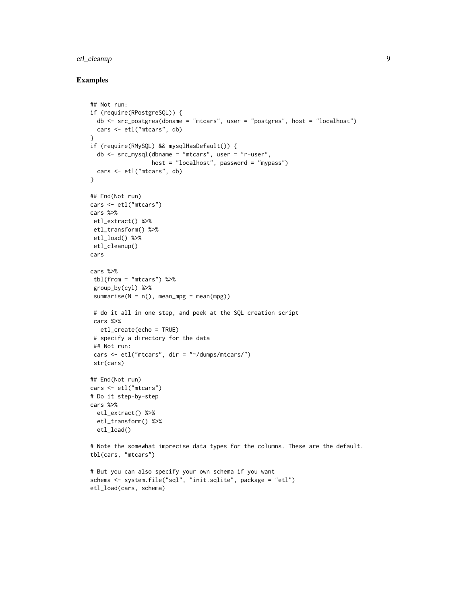# etl\_cleanup 9

#### Examples

```
## Not run:
if (require(RPostgreSQL)) {
  db <- src_postgres(dbname = "mtcars", user = "postgres", host = "localhost")
 cars <- etl("mtcars", db)
}
if (require(RMySQL) && mysqlHasDefault()) {
  db <- src_mysql(dbname = "mtcars", user = "r-user",
                  host = "localhost", password = "mypass")
 cars <- etl("mtcars", db)
}
## End(Not run)
cars <- etl("mtcars")
cars %>%
etl_extract() %>%
etl_transform() %>%
etl_load() %>%
etl_cleanup()
cars
cars %>%
tbl(from = "mtcars") %>%
 group_by(cyl) %>%
 summarise(N = n(), mean_mpg = mean(mpg))# do it all in one step, and peek at the SQL creation script
 cars %>%
  etl_create(echo = TRUE)
 # specify a directory for the data
 ## Not run:
 cars <- etl("mtcars", dir = "~/dumps/mtcars/")
 str(cars)
## End(Not run)
cars <- etl("mtcars")
# Do it step-by-step
cars %>%
  etl_extract() %>%
  etl_transform() %>%
  etl_load()
# Note the somewhat imprecise data types for the columns. These are the default.
tbl(cars, "mtcars")
# But you can also specify your own schema if you want
schema <- system.file("sql", "init.sqlite", package = "etl")
etl_load(cars, schema)
```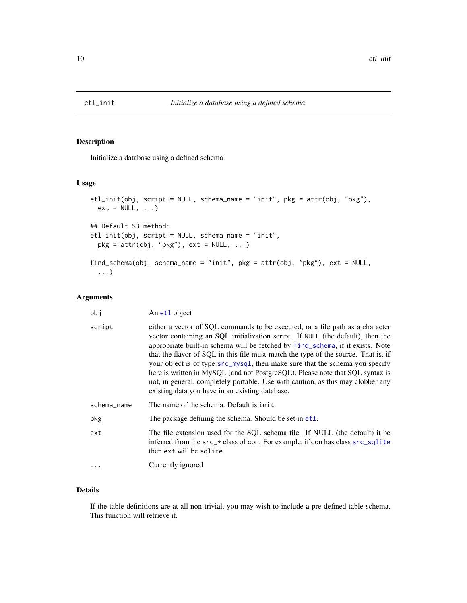<span id="page-9-2"></span><span id="page-9-1"></span><span id="page-9-0"></span>

Initialize a database using a defined schema

# Usage

```
etl_init(obj, script = NULL, schema_name = "init", pkg = attr(obj, "pkg"),
 ext = NULL, ...## Default S3 method:
etl_init(obj, script = NULL, schema_name = "init",
 pkg = attr(obj, "pkg"), ext = NULL, ...)find_schema(obj, schema_name = "init", pkg = attr(obj, "pkg"), ext = NULL,
  ...)
```
# Arguments

| obi         | An et1 object                                                                                                                                                                                                                                                                                                                                                                                                                                                                                                                                                                                                                                   |
|-------------|-------------------------------------------------------------------------------------------------------------------------------------------------------------------------------------------------------------------------------------------------------------------------------------------------------------------------------------------------------------------------------------------------------------------------------------------------------------------------------------------------------------------------------------------------------------------------------------------------------------------------------------------------|
| script      | either a vector of SQL commands to be executed, or a file path as a character<br>vector containing an SQL initialization script. If NULL (the default), then the<br>appropriate built-in schema will be fetched by find_schema, if it exists. Note<br>that the flavor of SQL in this file must match the type of the source. That is, if<br>your object is of type src_mysql, then make sure that the schema you specify<br>here is written in MySQL (and not PostgreSQL). Please note that SQL syntax is<br>not, in general, completely portable. Use with caution, as this may clobber any<br>existing data you have in an existing database. |
| schema_name | The name of the schema. Default is init.                                                                                                                                                                                                                                                                                                                                                                                                                                                                                                                                                                                                        |
| pkg         | The package defining the schema. Should be set in et1.                                                                                                                                                                                                                                                                                                                                                                                                                                                                                                                                                                                          |
| ext         | The file extension used for the SQL schema file. If NULL (the default) it be<br>inferred from the src_* class of con. For example, if con has class src_sqlite<br>then ext will be sqlite.                                                                                                                                                                                                                                                                                                                                                                                                                                                      |
| $\cdots$    | Currently ignored                                                                                                                                                                                                                                                                                                                                                                                                                                                                                                                                                                                                                               |

# Details

If the table definitions are at all non-trivial, you may wish to include a pre-defined table schema. This function will retrieve it.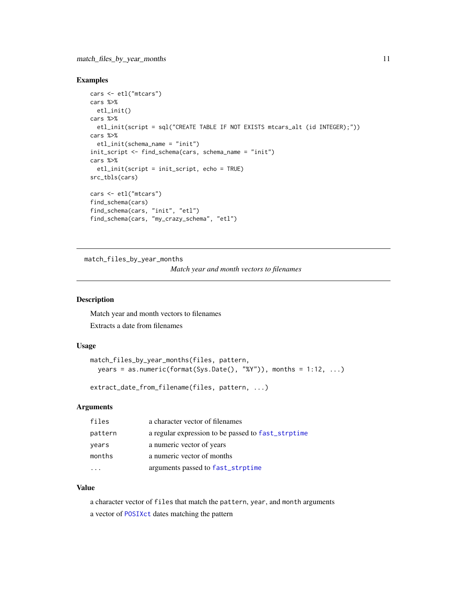#### <span id="page-10-0"></span>Examples

```
cars <- etl("mtcars")
cars %>%
  etl_init()
cars %>%
  etl_init(script = sql("CREATE TABLE IF NOT EXISTS mtcars_alt (id INTEGER);"))
cars %>%
  etl_init(schema_name = "init")
init_script <- find_schema(cars, schema_name = "init")
cars %>%
  etl_init(script = init_script, echo = TRUE)
src_tbls(cars)
cars <- etl("mtcars")
find_schema(cars)
find_schema(cars, "init", "etl")
find_schema(cars, "my_crazy_schema", "etl")
```
match\_files\_by\_year\_months

*Match year and month vectors to filenames*

#### Description

Match year and month vectors to filenames Extracts a date from filenames

#### Usage

```
match_files_by_year_months(files, pattern,
 years = as.numeric(format(Sys.Date(), "%Y")), months = 1:12, ...)
```
extract\_date\_from\_filename(files, pattern, ...)

# Arguments

| files   | a character vector of filenames                    |
|---------|----------------------------------------------------|
| pattern | a regular expression to be passed to fast_strptime |
| years   | a numeric vector of years                          |
| months  | a numeric vector of months                         |
|         | arguments passed to fast_strptime                  |

#### Value

a character vector of files that match the pattern, year, and month arguments a vector of [POSIXct](#page-0-0) dates matching the pattern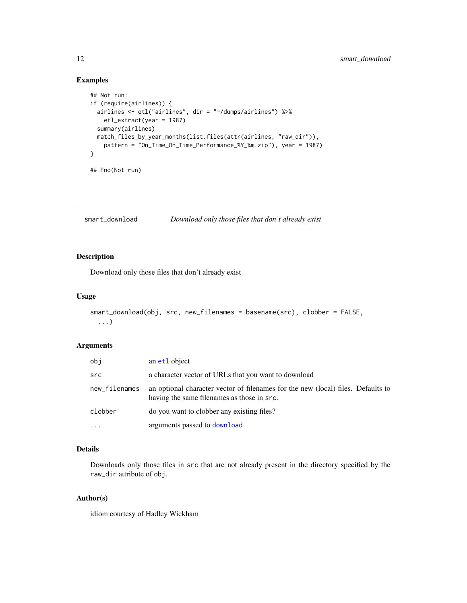# Examples

```
## Not run:
if (require(airlines)) {
  airlines <- etl("airlines", dir = "~/dumps/airlines") %>%
   etl_extract(year = 1987)
  summary(airlines)
  match_files_by_year_months(list.files(attr(airlines, "raw_dir")),
   pattern = "On_Time_On_Time_Performance_%Y_%m.zip"), year = 1987)
}
## End(Not run)
```
smart\_download *Download only those files that don't already exist*

#### Description

Download only those files that don't already exist

#### Usage

```
smart_download(obj, src, new_filenames = basename(src), clobber = FALSE,
  ...)
```
#### Arguments

| obj           | an et1 object                                                                                                                  |
|---------------|--------------------------------------------------------------------------------------------------------------------------------|
| src           | a character vector of URLs that you want to download                                                                           |
| new_filenames | an optional character vector of filenames for the new (local) files. Defaults to<br>having the same filenames as those in src. |
| clobber       | do you want to clobber any existing files?                                                                                     |
| $\cdots$      | arguments passed to download                                                                                                   |

# Details

Downloads only those files in src that are not already present in the directory specified by the raw\_dir attribute of obj.

# Author(s)

idiom courtesy of Hadley Wickham

<span id="page-11-0"></span>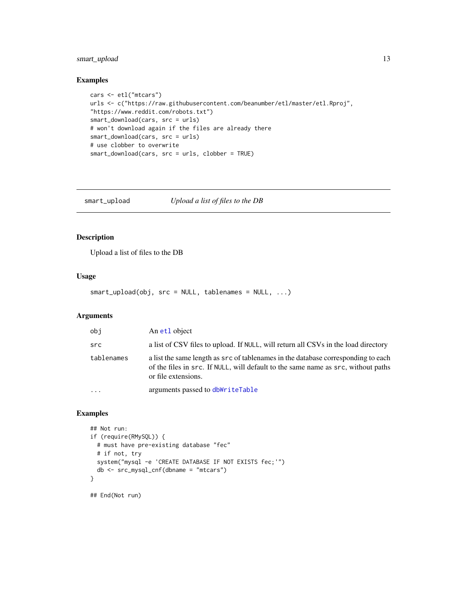# <span id="page-12-0"></span>smart\_upload 13

#### Examples

```
cars <- etl("mtcars")
urls <- c("https://raw.githubusercontent.com/beanumber/etl/master/etl.Rproj",
"https://www.reddit.com/robots.txt")
smart_download(cars, src = urls)
# won't download again if the files are already there
smart_download(cars, src = urls)
# use clobber to overwrite
smart_download(cars, src = urls, clobber = TRUE)
```
smart\_upload *Upload a list of files to the DB*

#### Description

Upload a list of files to the DB

# Usage

smart\_upload(obj, src = NULL, tablenames = NULL, ...)

#### Arguments

| obj        | An et1 object                                                                                                                                                                                 |
|------------|-----------------------------------------------------------------------------------------------------------------------------------------------------------------------------------------------|
| src        | a list of CSV files to upload. If NULL, will return all CSVs in the load directory                                                                                                            |
| tablenames | a list the same length as src of tablenames in the database corresponding to each<br>of the files in src. If NULL, will default to the same name as src, without paths<br>or file extensions. |
| $\ddotsc$  | arguments passed to dbWriteTable                                                                                                                                                              |

# Examples

```
## Not run:
if (require(RMySQL)) {
 # must have pre-existing database "fec"
 # if not, try
 system("mysql -e 'CREATE DATABASE IF NOT EXISTS fec;'")
 db <- src_mysql_cnf(dbname = "mtcars")
}
```
## End(Not run)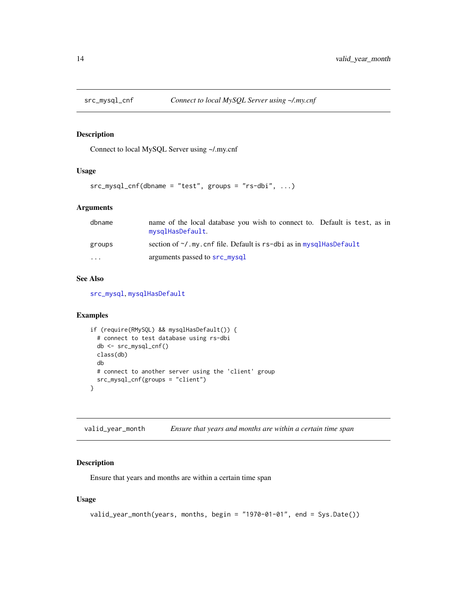<span id="page-13-0"></span>

Connect to local MySQL Server using ~/.my.cnf

#### Usage

```
src_mysql_cnf(dbname = "test", groups = "rs-dbi", ...)
```
# Arguments

| dbname   | name of the local database you wish to connect to. Default is test, as in<br>mysqlHasDefault. |
|----------|-----------------------------------------------------------------------------------------------|
| groups   | section of $\gamma$ , my, cnf file. Default is $rs$ -dbi as in mysqlHasDefault                |
| $\cdots$ | arguments passed to src_mysql                                                                 |

# See Also

[src\\_mysql](#page-0-0), [mysqlHasDefault](#page-0-0)

#### Examples

```
if (require(RMySQL) && mysqlHasDefault()) {
 # connect to test database using rs-dbi
 db <- src_mysql_cnf()
 class(db)
 db
 # connect to another server using the 'client' group
 src_mysql_cnf(groups = "client")
}
```
valid\_year\_month *Ensure that years and months are within a certain time span*

# Description

Ensure that years and months are within a certain time span

# Usage

```
valid_year_month(years, months, begin = "1970-01-01", end = Sys.Date())
```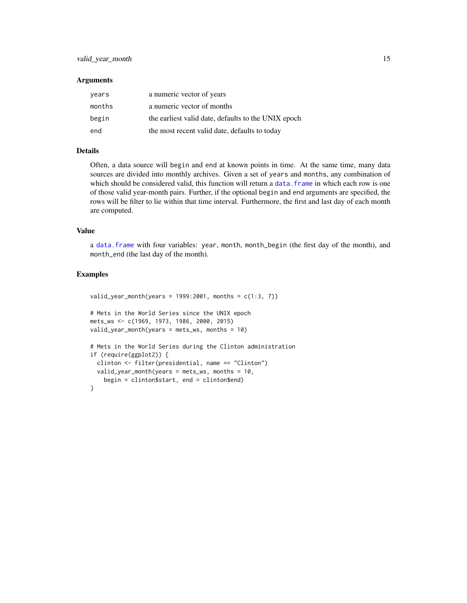#### <span id="page-14-0"></span>**Arguments**

| years  | a numeric vector of years                           |
|--------|-----------------------------------------------------|
| months | a numeric vector of months                          |
| begin  | the earliest valid date, defaults to the UNIX epoch |
| end    | the most recent valid date, defaults to today       |

# Details

Often, a data source will begin and end at known points in time. At the same time, many data sources are divided into monthly archives. Given a set of years and months, any combination of which should be considered valid, this function will return a data. frame in which each row is one of those valid year-month pairs. Further, if the optional begin and end arguments are specified, the rows will be filter to lie within that time interval. Furthermore, the first and last day of each month are computed.

#### Value

a [data.frame](#page-0-0) with four variables: year, month, month\_begin (the first day of the month), and month\_end (the last day of the month).

#### Examples

```
valid_year_month(years = 1999:2001, months = c(1:3, 7))
# Mets in the World Series since the UNIX epoch
mets_ws <- c(1969, 1973, 1986, 2000, 2015)
valid_year_month(years = mets_ws, months = 10)
# Mets in the World Series during the Clinton administration
if (require(ggplot2)) {
 clinton <- filter(presidential, name == "Clinton")
 valid_year_month(years = mets_ws, months = 10,
   begin = clinton$start, end = clinton$end)
}
```